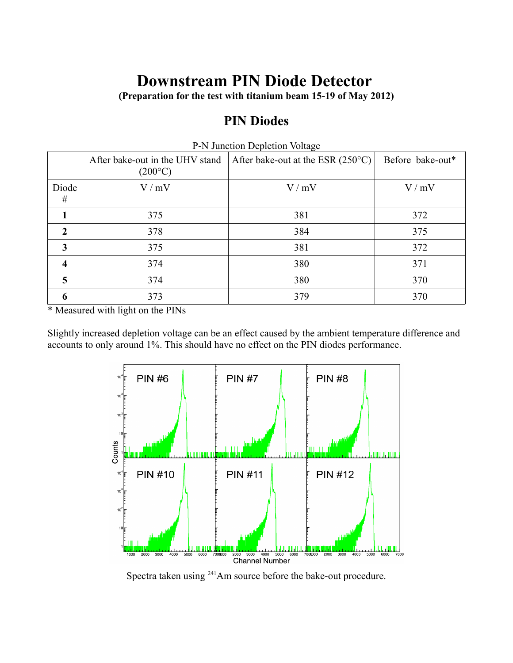## **Downstream PIN Diode Detector**

**(Preparation for the test with titanium beam 15-19 of May 2012)**

## **PIN Diodes**

|                  | After bake-out in the UHV stand<br>$(200^{\circ}C)$ | $\frac{1}{2}$ is suffection depiction voltage.<br>After bake-out at the ESR (250 $^{\circ}$ C) | Before bake-out* |
|------------------|-----------------------------------------------------|------------------------------------------------------------------------------------------------|------------------|
| Diode<br>#       | V/mV                                                | V/mV                                                                                           | V/mV             |
|                  | 375                                                 | 381                                                                                            | 372              |
| $\boldsymbol{2}$ | 378                                                 | 384                                                                                            | 375              |
| 3                | 375                                                 | 381                                                                                            | 372              |
| 4                | 374                                                 | 380                                                                                            | 371              |
| 5                | 374                                                 | 380                                                                                            | 370              |
| 6                | 373                                                 | 379                                                                                            | 370              |

P-N Junction Depletion Voltage

\* Measured with light on the PINs

Slightly increased depletion voltage can be an effect caused by the ambient temperature difference and accounts to only around 1%. This should have no effect on the PIN diodes performance.



Spectra taken using 241Am source before the bake-out procedure.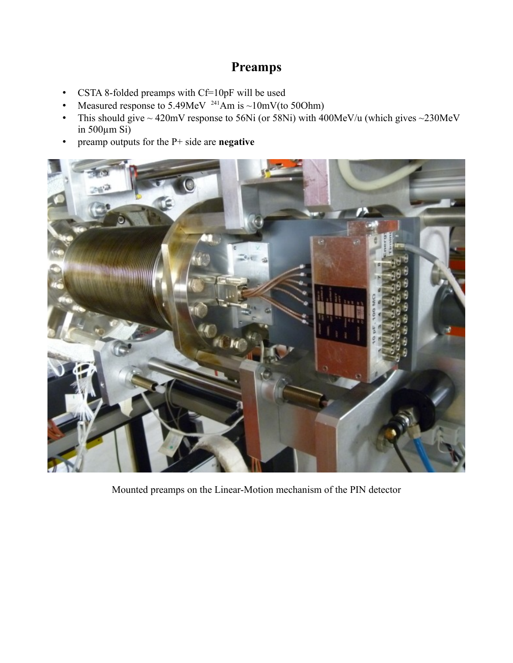## **Preamps**

- CSTA 8-folded preamps with Cf=10pF will be used
- Measured response to 5.49MeV <sup>241</sup>Am is ~10mV(to 50Ohm)
- This should give  $\sim$  420mV response to 56Ni (or 58Ni) with 400MeV/u (which gives  $\sim$  230MeV in 500µm Si)
- preamp outputs for the P+ side are **negative**



Mounted preamps on the Linear-Motion mechanism of the PIN detector